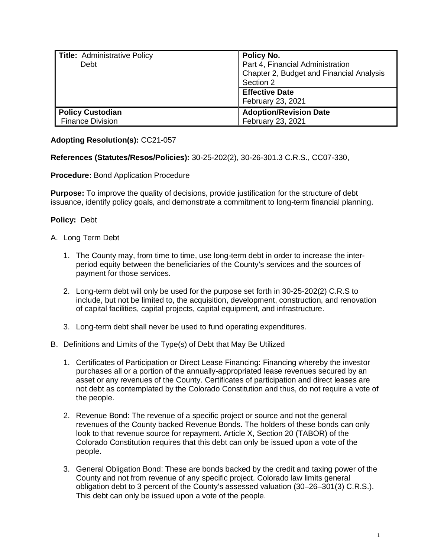| Title: Administrative Policy | Policy No.                               |
|------------------------------|------------------------------------------|
| Debt                         | Part 4, Financial Administration         |
|                              | Chapter 2, Budget and Financial Analysis |
|                              | Section 2                                |
|                              | <b>Effective Date</b>                    |
|                              | February 23, 2021                        |
| <b>Policy Custodian</b>      | <b>Adoption/Revision Date</b>            |
| <b>Finance Division</b>      | February 23, 2021                        |

## **Adopting Resolution(s):** CC21-057

## **References (Statutes/Resos/Policies):** 30-25-202(2), 30-26-301.3 C.R.S., CC07-330,

## **Procedure:** Bond Application Procedure

**Purpose:** To improve the quality of decisions, provide justification for the structure of debt issuance, identify policy goals, and demonstrate a commitment to long-term financial planning.

## **Policy:** Debt

- A. Long Term Debt
	- 1. The County may, from time to time, use long-term debt in order to increase the interperiod equity between the beneficiaries of the County's services and the sources of payment for those services.
	- 2. Long-term debt will only be used for the purpose set forth in 30-25-202(2) C.R.S to include, but not be limited to, the acquisition, development, construction, and renovation of capital facilities, capital projects, capital equipment, and infrastructure.
	- 3. Long-term debt shall never be used to fund operating expenditures.
- B. Definitions and Limits of the Type(s) of Debt that May Be Utilized
	- 1. Certificates of Participation or Direct Lease Financing: Financing whereby the investor purchases all or a portion of the annually-appropriated lease revenues secured by an asset or any revenues of the County. Certificates of participation and direct leases are not debt as contemplated by the Colorado Constitution and thus, do not require a vote of the people.
	- 2. Revenue Bond: The revenue of a specific project or source and not the general revenues of the County backed Revenue Bonds. The holders of these bonds can only look to that revenue source for repayment. Article X, Section 20 (TABOR) of the Colorado Constitution requires that this debt can only be issued upon a vote of the people.
	- 3. General Obligation Bond: These are bonds backed by the credit and taxing power of the County and not from revenue of any specific project. Colorado law limits general obligation debt to 3 percent of the County's assessed valuation (30–26–301(3) C.R.S.). This debt can only be issued upon a vote of the people.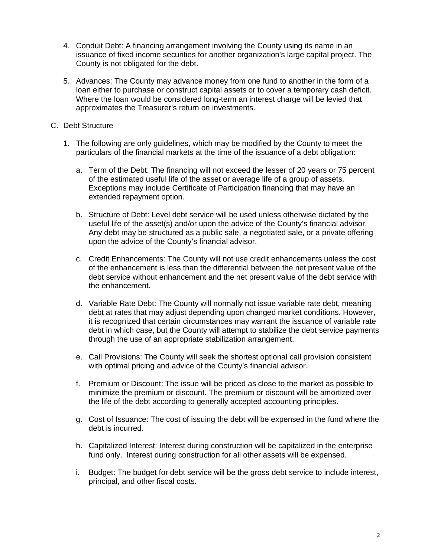- 4. Conduit Debt: A financing arrangement involving the County using its name in an issuance of fixed income securities for another organization's large capital project. The County is not obligated for the debt.
- 5. Advances: The County may advance money from one fund to another in the form of a loan either to purchase or construct capital assets or to cover a temporary cash deficit. Where the loan would be considered long-term an interest charge will be levied that approximates the Treasurer's return on investments.
- C. Debt Structure
	- 1. The following are only guidelines, which may be modified by the County to meet the particulars of the financial markets at the time of the issuance of a debt obligation:
		- a. Term of the Debt: The financing will not exceed the lesser of 20 years or 75 percent of the estimated useful life of the asset or average life of a group of assets. Exceptions may include Certificate of Participation financing that may have an extended repayment option.
		- b. Structure of Debt: Level debt service will be used unless otherwise dictated by the useful life of the asset(s) and/or upon the advice of the County's financial advisor. Any debt may be structured as a public sale, a negotiated sale, or a private offering upon the advice of the County's financial advisor.
		- c. Credit Enhancements: The County will not use credit enhancements unless the cost of the enhancement is less than the differential between the net present value of the debt service without enhancement and the net present value of the debt service with the enhancement.
		- d. Variable Rate Debt: The County will normally not issue variable rate debt, meaning debt at rates that may adjust depending upon changed market conditions. However, it is recognized that certain circumstances may warrant the issuance of variable rate debt in which case, but the County will attempt to stabilize the debt service payments through the use of an appropriate stabilization arrangement.
		- e. Call Provisions: The County will seek the shortest optional call provision consistent with optimal pricing and advice of the County's financial advisor.
		- f. Premium or Discount: The issue will be priced as close to the market as possible to minimize the premium or discount. The premium or discount will be amortized over the life of the debt according to generally accepted accounting principles.
		- g. Cost of Issuance: The cost of issuing the debt will be expensed in the fund where the debt is incurred.
		- h. Capitalized Interest: Interest during construction will be capitalized in the enterprise fund only. Interest during construction for all other assets will be expensed.
		- i. Budget: The budget for debt service will be the gross debt service to include interest, principal, and other fiscal costs.